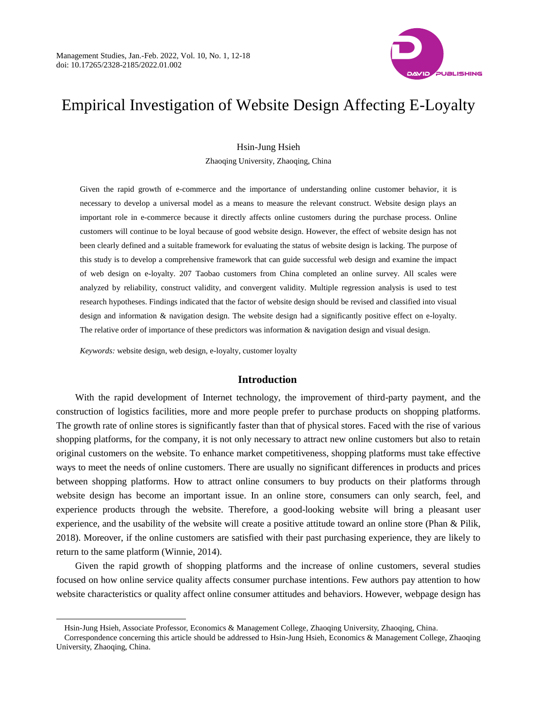

# Empirical Investigation of Website Design Affecting E-Loyalty

## Hsin-Jung Hsieh

Zhaoqing University, Zhaoqing, China

Given the rapid growth of e-commerce and the importance of understanding online customer behavior, it is necessary to develop a universal model as a means to measure the relevant construct. Website design plays an important role in e-commerce because it directly affects online customers during the purchase process. Online customers will continue to be loyal because of good website design. However, the effect of website design has not been clearly defined and a suitable framework for evaluating the status of website design is lacking. The purpose of this study is to develop a comprehensive framework that can guide successful web design and examine the impact of web design on e-loyalty. 207 Taobao customers from China completed an online survey. All scales were analyzed by reliability, construct validity, and convergent validity. Multiple regression analysis is used to test research hypotheses. Findings indicated that the factor of website design should be revised and classified into visual design and information & navigation design. The website design had a significantly positive effect on e-loyalty. The relative order of importance of these predictors was information & navigation design and visual design.

*Keywords:* website design, web design, e-loyalty, customer loyalty

 $\overline{a}$ 

#### **Introduction**

With the rapid development of Internet technology, the improvement of third-party payment, and the construction of logistics facilities, more and more people prefer to purchase products on shopping platforms. The growth rate of online stores is significantly faster than that of physical stores. Faced with the rise of various shopping platforms, for the company, it is not only necessary to attract new online customers but also to retain original customers on the website. To enhance market competitiveness, shopping platforms must take effective ways to meet the needs of online customers. There are usually no significant differences in products and prices between shopping platforms. How to attract online consumers to buy products on their platforms through website design has become an important issue. In an online store, consumers can only search, feel, and experience products through the website. Therefore, a good-looking website will bring a pleasant user experience, and the usability of the website will create a positive attitude toward an online store (Phan & Pilik, 2018). Moreover, if the online customers are satisfied with their past purchasing experience, they are likely to return to the same platform (Winnie, 2014).

Given the rapid growth of shopping platforms and the increase of online customers, several studies focused on how online service quality affects consumer purchase intentions. Few authors pay attention to how website characteristics or quality affect online consumer attitudes and behaviors. However, webpage design has

Hsin-Jung Hsieh, Associate Professor, Economics & Management College, Zhaoqing University, Zhaoqing, China.

Correspondence concerning this article should be addressed to Hsin-Jung Hsieh, Economics & Management College, Zhaoqing University, Zhaoqing, China.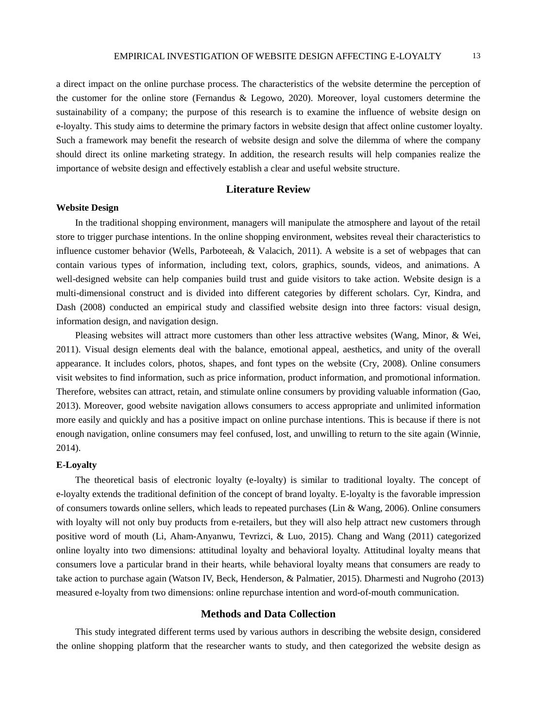a direct impact on the online purchase process. The characteristics of the website determine the perception of the customer for the online store (Fernandus & Legowo, 2020). Moreover, loyal customers determine the sustainability of a company; the purpose of this research is to examine the influence of website design on e-loyalty. This study aims to determine the primary factors in website design that affect online customer loyalty. Such a framework may benefit the research of website design and solve the dilemma of where the company should direct its online marketing strategy. In addition, the research results will help companies realize the importance of website design and effectively establish a clear and useful website structure.

## **Literature Review**

#### **Website Design**

In the traditional shopping environment, managers will manipulate the atmosphere and layout of the retail store to trigger purchase intentions. In the online shopping environment, websites reveal their characteristics to influence customer behavior (Wells, Parboteeah, & Valacich, 2011). A website is a set of webpages that can contain various types of information, including text, colors, graphics, sounds, videos, and animations. A well-designed website can help companies build trust and guide visitors to take action. Website design is a multi-dimensional construct and is divided into different categories by different scholars. Cyr, Kindra, and Dash (2008) conducted an empirical study and classified website design into three factors: visual design, information design, and navigation design.

Pleasing websites will attract more customers than other less attractive websites (Wang, Minor, & Wei, 2011). Visual design elements deal with the balance, emotional appeal, aesthetics, and unity of the overall appearance. It includes colors, photos, shapes, and font types on the website (Cry, 2008). Online consumers visit websites to find information, such as price information, product information, and promotional information. Therefore, websites can attract, retain, and stimulate online consumers by providing valuable information (Gao, 2013). Moreover, good website navigation allows consumers to access appropriate and unlimited information more easily and quickly and has a positive impact on online purchase intentions. This is because if there is not enough navigation, online consumers may feel confused, lost, and unwilling to return to the site again (Winnie, 2014).

#### **E-Loyalty**

The theoretical basis of electronic loyalty (e-loyalty) is similar to traditional loyalty. The concept of e-loyalty extends the traditional definition of the concept of brand loyalty. E-loyalty is the favorable impression of consumers towards online sellers, which leads to repeated purchases (Lin & Wang, 2006). Online consumers with loyalty will not only buy products from e-retailers, but they will also help attract new customers through positive word of mouth (Li, Aham-Anyanwu, Tevrizci, & Luo, 2015). Chang and Wang (2011) categorized online loyalty into two dimensions: attitudinal loyalty and behavioral loyalty. Attitudinal loyalty means that consumers love a particular brand in their hearts, while behavioral loyalty means that consumers are ready to take action to purchase again (Watson IV, Beck, Henderson, & Palmatier, 2015). Dharmesti and Nugroho (2013) measured e-loyalty from two dimensions: online repurchase intention and word-of-mouth communication.

### **Methods and Data Collection**

This study integrated different terms used by various authors in describing the website design, considered the online shopping platform that the researcher wants to study, and then categorized the website design as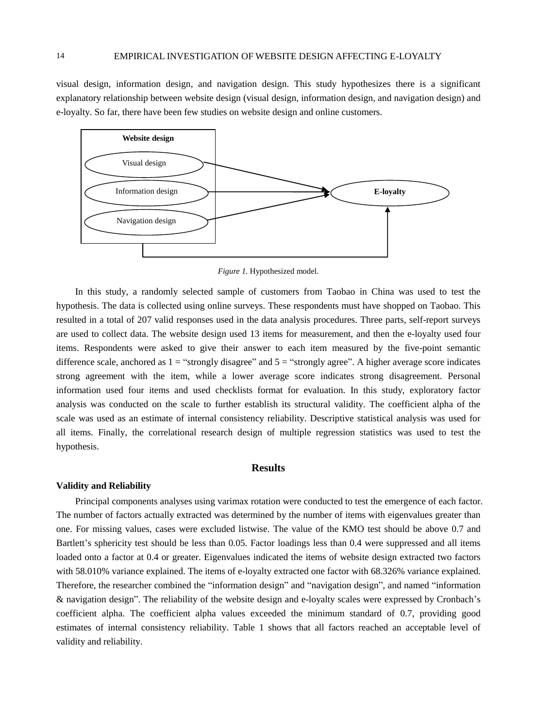visual design, information design, and navigation design. This study hypothesizes there is a significant explanatory relationship between website design (visual design, information design, and navigation design) and e-loyalty. So far, there have been few studies on website design and online customers.



*Figure 1.* Hypothesized model.

In this study, a randomly selected sample of customers from Taobao in China was used to test the hypothesis. The data is collected using online surveys. These respondents must have shopped on Taobao. This resulted in a total of 207 valid responses used in the data analysis procedures. Three parts, self-report surveys are used to collect data. The website design used 13 items for measurement, and then the e-loyalty used four items. Respondents were asked to give their answer to each item measured by the five-point semantic difference scale, anchored as  $1 =$  "strongly disagree" and  $5 =$  "strongly agree". A higher average score indicates strong agreement with the item, while a lower average score indicates strong disagreement. Personal information used four items and used checklists format for evaluation. In this study, exploratory factor analysis was conducted on the scale to further establish its structural validity. The coefficient alpha of the scale was used as an estimate of internal consistency reliability. Descriptive statistical analysis was used for all items. Finally, the correlational research design of multiple regression statistics was used to test the hypothesis.

## **Results**

#### **Validity and Reliability**

Principal components analyses using varimax rotation were conducted to test the emergence of each factor. The number of factors actually extracted was determined by the number of items with eigenvalues greater than one. For missing values, cases were excluded listwise. The value of the KMO test should be above 0.7 and Bartlett's sphericity test should be less than 0.05. Factor loadings less than 0.4 were suppressed and all items loaded onto a factor at 0.4 or greater. Eigenvalues indicated the items of website design extracted two factors with 58.010% variance explained. The items of e-loyalty extracted one factor with 68.326% variance explained. Therefore, the researcher combined the "information design" and "navigation design", and named "information & navigation design". The reliability of the website design and e-loyalty scales were expressed by Cronbach's coefficient alpha. The coefficient alpha values exceeded the minimum standard of 0.7, providing good estimates of internal consistency reliability. Table 1 shows that all factors reached an acceptable level of validity and reliability.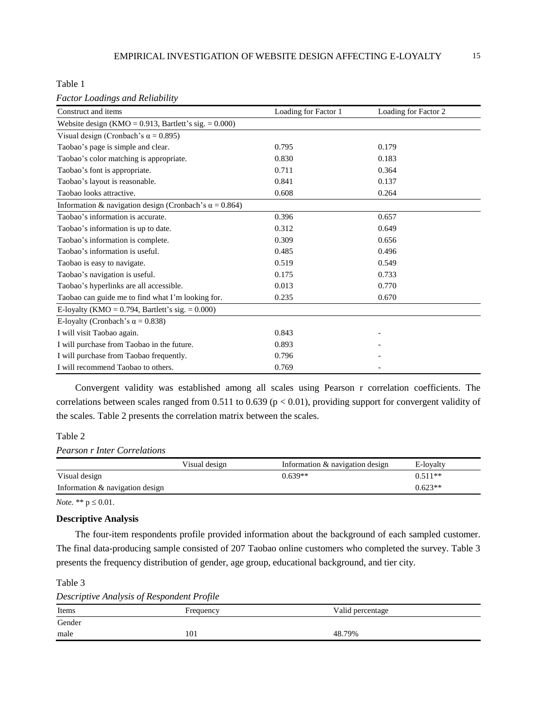Table 1

| <b>Factor Loadings and Reliability</b> |  |  |  |  |
|----------------------------------------|--|--|--|--|
|----------------------------------------|--|--|--|--|

| Construct and items                                            | Loading for Factor 1 | Loading for Factor 2 |  |
|----------------------------------------------------------------|----------------------|----------------------|--|
| Website design (KMO = $0.913$ , Bartlett's sig. = $0.000$ )    |                      |                      |  |
| Visual design (Cronbach's $\alpha$ = 0.895)                    |                      |                      |  |
| Taobao's page is simple and clear.                             | 0.795                | 0.179                |  |
| Taobao's color matching is appropriate.                        | 0.830                | 0.183                |  |
| Taobao's font is appropriate.                                  | 0.711                | 0.364                |  |
| Taobao's layout is reasonable.                                 | 0.841                | 0.137                |  |
| Taobao looks attractive.                                       | 0.608                | 0.264                |  |
| Information & navigation design (Cronbach's $\alpha = 0.864$ ) |                      |                      |  |
| Taobao's information is accurate.                              | 0.396                | 0.657                |  |
| Taobao's information is up to date.                            | 0.312                | 0.649                |  |
| Taobao's information is complete.                              | 0.309                | 0.656                |  |
| Taobao's information is useful.                                | 0.485                | 0.496                |  |
| Taobao is easy to navigate.                                    | 0.519                | 0.549                |  |
| Taobao's navigation is useful.                                 | 0.175                | 0.733                |  |
| Taobao's hyperlinks are all accessible.                        | 0.013                | 0.770                |  |
| Taobao can guide me to find what I'm looking for.              | 0.235                | 0.670                |  |
| E-loyalty (KMO = $0.794$ , Bartlett's sig. = $0.000$ )         |                      |                      |  |
| E-loyalty (Cronbach's $\alpha = 0.838$ )                       |                      |                      |  |
| I will visit Taobao again.                                     | 0.843                |                      |  |
| I will purchase from Taobao in the future.                     | 0.893                |                      |  |
| I will purchase from Taobao frequently.                        | 0.796                |                      |  |
| I will recommend Taobao to others.                             | 0.769                |                      |  |

Convergent validity was established among all scales using Pearson r correlation coefficients. The correlations between scales ranged from 0.511 to 0.639 ( $p < 0.01$ ), providing support for convergent validity of the scales. Table 2 presents the correlation matrix between the scales.

# Table 2

## *Pearson r Inter Correlations*

|                                 | Visual design | Information $\&$ navigation design | E-loyalty |
|---------------------------------|---------------|------------------------------------|-----------|
| Visual design                   |               | $0.639**$                          | $0.511**$ |
| Information & navigation design |               |                                    | $0.623**$ |

*Note.* \*\*  $p \le 0.01$ .

### **Descriptive Analysis**

The four-item respondents profile provided information about the background of each sampled customer. The final data-producing sample consisted of 207 Taobao online customers who completed the survey. Table 3 presents the frequency distribution of gender, age group, educational background, and tier city.

#### Table 3

| Descriptive Analysis of Respondent Profile |  |  |
|--------------------------------------------|--|--|
|                                            |  |  |

| Items  | Frequency | Valid percentage |
|--------|-----------|------------------|
| Gender |           |                  |
| male   | 101       | 48.79%           |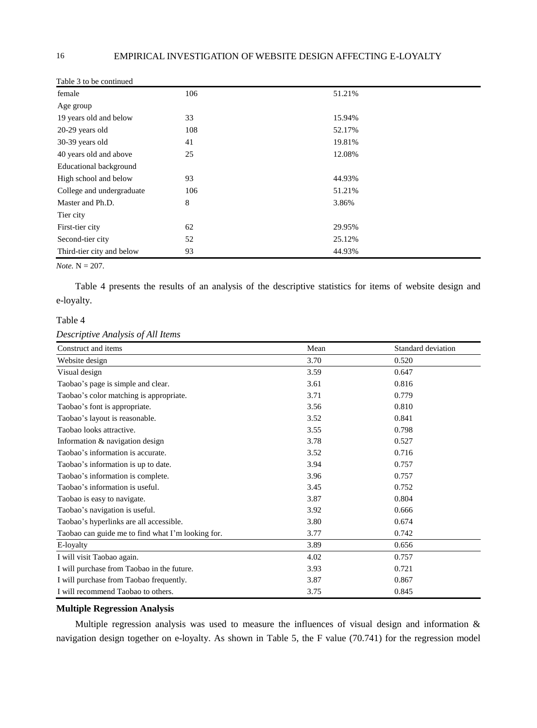| Table 5 to be committed   |     |        |
|---------------------------|-----|--------|
| female                    | 106 | 51.21% |
| Age group                 |     |        |
| 19 years old and below    | 33  | 15.94% |
| 20-29 years old           | 108 | 52.17% |
| 30-39 years old           | 41  | 19.81% |
| 40 years old and above    | 25  | 12.08% |
| Educational background    |     |        |
| High school and below     | 93  | 44.93% |
| College and undergraduate | 106 | 51.21% |
| Master and Ph.D.          | 8   | 3.86%  |
| Tier city                 |     |        |
| First-tier city           | 62  | 29.95% |
| Second-tier city          | 52  | 25.12% |
| Third-tier city and below | 93  | 44.93% |

Table 3 to be continued

*Note.* N = 207.

Table 4 presents the results of an analysis of the descriptive statistics for items of website design and e-loyalty.

# Table 4

## *Descriptive Analysis of All Items*

| Construct and items                               | Mean | Standard deviation |
|---------------------------------------------------|------|--------------------|
| Website design                                    | 3.70 | 0.520              |
| Visual design                                     | 3.59 | 0.647              |
| Taobao's page is simple and clear.                | 3.61 | 0.816              |
| Taobao's color matching is appropriate.           | 3.71 | 0.779              |
| Taobao's font is appropriate.                     | 3.56 | 0.810              |
| Taobao's layout is reasonable.                    | 3.52 | 0.841              |
| Taobao looks attractive.                          | 3.55 | 0.798              |
| Information & navigation design                   | 3.78 | 0.527              |
| Taobao's information is accurate.                 | 3.52 | 0.716              |
| Taobao's information is up to date.               | 3.94 | 0.757              |
| Taobao's information is complete.                 | 3.96 | 0.757              |
| Taobao's information is useful.                   | 3.45 | 0.752              |
| Taobao is easy to navigate.                       | 3.87 | 0.804              |
| Taobao's navigation is useful.                    | 3.92 | 0.666              |
| Taobao's hyperlinks are all accessible.           | 3.80 | 0.674              |
| Taobao can guide me to find what I'm looking for. | 3.77 | 0.742              |
| E-loyalty                                         | 3.89 | 0.656              |
| I will visit Taobao again.                        | 4.02 | 0.757              |
| I will purchase from Taobao in the future.        | 3.93 | 0.721              |
| I will purchase from Taobao frequently.           | 3.87 | 0.867              |
| I will recommend Taobao to others.                | 3.75 | 0.845              |

## **Multiple Regression Analysis**

Multiple regression analysis was used to measure the influences of visual design and information & navigation design together on e-loyalty. As shown in Table 5, the F value (70.741) for the regression model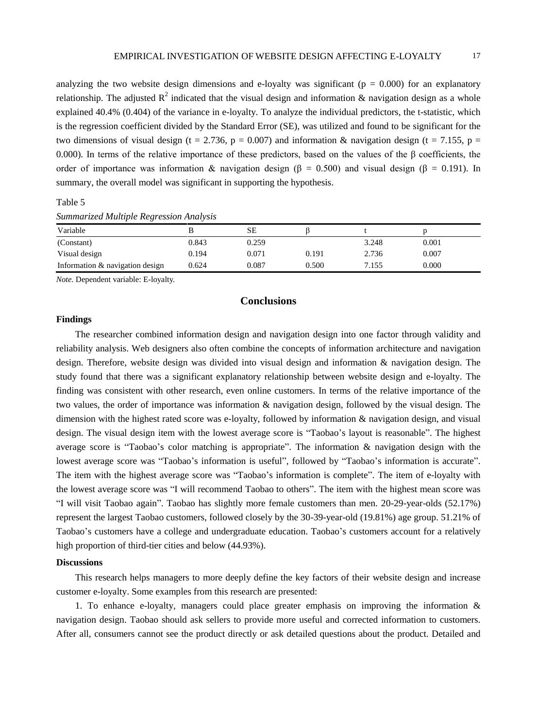analyzing the two website design dimensions and e-loyalty was significant ( $p = 0.000$ ) for an explanatory relationship. The adjusted  $R^2$  indicated that the visual design and information & navigation design as a whole explained 40.4% (0.404) of the variance in e-loyalty. To analyze the individual predictors, the t-statistic, which is the regression coefficient divided by the Standard Error (SE), was utilized and found to be significant for the two dimensions of visual design (t = 2.736, p = 0.007) and information & navigation design (t = 7.155, p = 0.000). In terms of the relative importance of these predictors, based on the values of the  $\beta$  coefficients, the order of importance was information & navigation design ( $\beta = 0.500$ ) and visual design ( $\beta = 0.191$ ). In summary, the overall model was significant in supporting the hypothesis.

Table 5 *Summarized Multiple Regression Analysis*

| Variable                        |       | SЕ    |       |       |       |
|---------------------------------|-------|-------|-------|-------|-------|
| (Constant)                      | 0.843 | 0.259 |       | 3.248 | 0.001 |
| Visual design                   | 0.194 | 0.071 | 0.191 | 2.736 | 0.007 |
| Information & navigation design | 0.624 | 0.087 | 0.500 | 7.155 | 0.000 |

*Note.* Dependent variable: E-loyalty.

# **Conclusions**

#### **Findings**

The researcher combined information design and navigation design into one factor through validity and reliability analysis. Web designers also often combine the concepts of information architecture and navigation design. Therefore, website design was divided into visual design and information & navigation design. The study found that there was a significant explanatory relationship between website design and e-loyalty. The finding was consistent with other research, even online customers. In terms of the relative importance of the two values, the order of importance was information & navigation design, followed by the visual design. The dimension with the highest rated score was e-loyalty, followed by information & navigation design, and visual design. The visual design item with the lowest average score is "Taobao's layout is reasonable". The highest average score is "Taobao's color matching is appropriate". The information & navigation design with the lowest average score was "Taobao's information is useful", followed by "Taobao's information is accurate". The item with the highest average score was "Taobao's information is complete". The item of e-loyalty with the lowest average score was "I will recommend Taobao to others". The item with the highest mean score was "I will visit Taobao again". Taobao has slightly more female customers than men. 20-29-year-olds (52.17%) represent the largest Taobao customers, followed closely by the 30-39-year-old (19.81%) age group. 51.21% of Taobao's customers have a college and undergraduate education. Taobao's customers account for a relatively high proportion of third-tier cities and below (44.93%).

#### **Discussions**

This research helps managers to more deeply define the key factors of their website design and increase customer e-loyalty. Some examples from this research are presented:

1. To enhance e-loyalty, managers could place greater emphasis on improving the information & navigation design. Taobao should ask sellers to provide more useful and corrected information to customers. After all, consumers cannot see the product directly or ask detailed questions about the product. Detailed and